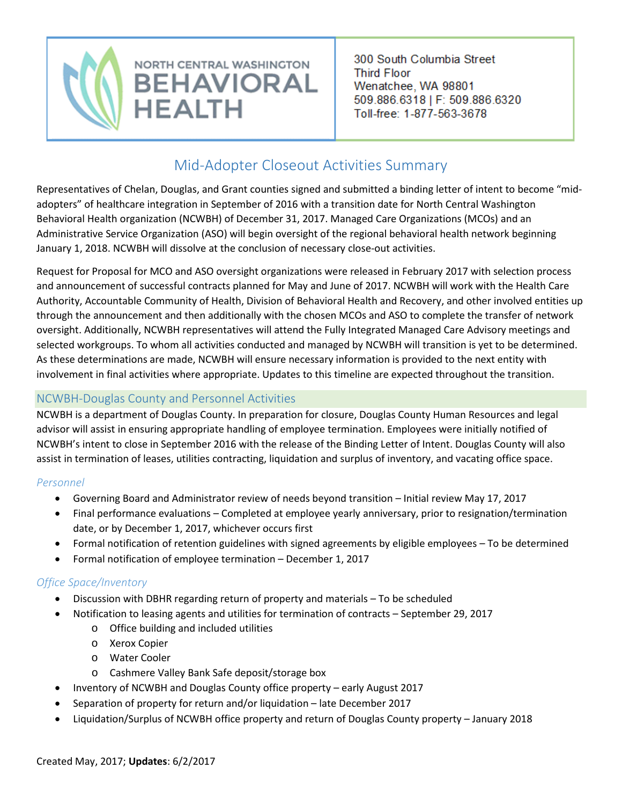

300 South Columbia Street **Third Floor** Wenatchee, WA 98801 509.886.6318 | F: 509.886.6320 Toll-free: 1-877-563-3678

# Mid-Adopter Closeout Activities Summary

Representatives of Chelan, Douglas, and Grant counties signed and submitted a binding letter of intent to become "midadopters" of healthcare integration in September of 2016 with a transition date for North Central Washington Behavioral Health organization (NCWBH) of December 31, 2017. Managed Care Organizations (MCOs) and an Administrative Service Organization (ASO) will begin oversight of the regional behavioral health network beginning January 1, 2018. NCWBH will dissolve at the conclusion of necessary close-out activities.

Request for Proposal for MCO and ASO oversight organizations were released in February 2017 with selection process and announcement of successful contracts planned for May and June of 2017. NCWBH will work with the Health Care Authority, Accountable Community of Health, Division of Behavioral Health and Recovery, and other involved entities up through the announcement and then additionally with the chosen MCOs and ASO to complete the transfer of network oversight. Additionally, NCWBH representatives will attend the Fully Integrated Managed Care Advisory meetings and selected workgroups. To whom all activities conducted and managed by NCWBH will transition is yet to be determined. As these determinations are made, NCWBH will ensure necessary information is provided to the next entity with involvement in final activities where appropriate. Updates to this timeline are expected throughout the transition.

## NCWBH-Douglas County and Personnel Activities

NCWBH is a department of Douglas County. In preparation for closure, Douglas County Human Resources and legal advisor will assist in ensuring appropriate handling of employee termination. Employees were initially notified of NCWBH's intent to close in September 2016 with the release of the Binding Letter of Intent. Douglas County will also assist in termination of leases, utilities contracting, liquidation and surplus of inventory, and vacating office space.

### *Personnel*

- Governing Board and Administrator review of needs beyond transition Initial review May 17, 2017
- Final performance evaluations Completed at employee yearly anniversary, prior to resignation/termination date, or by December 1, 2017, whichever occurs first
- Formal notification of retention guidelines with signed agreements by eligible employees To be determined
- Formal notification of employee termination December 1, 2017

### *Office Space/Inventory*

- Discussion with DBHR regarding return of property and materials To be scheduled
- Notification to leasing agents and utilities for termination of contracts September 29, 2017
	- o Office building and included utilities
	- o Xerox Copier
	- o Water Cooler
	- o Cashmere Valley Bank Safe deposit/storage box
- Inventory of NCWBH and Douglas County office property early August 2017
- Separation of property for return and/or liquidation late December 2017
- Liquidation/Surplus of NCWBH office property and return of Douglas County property January 2018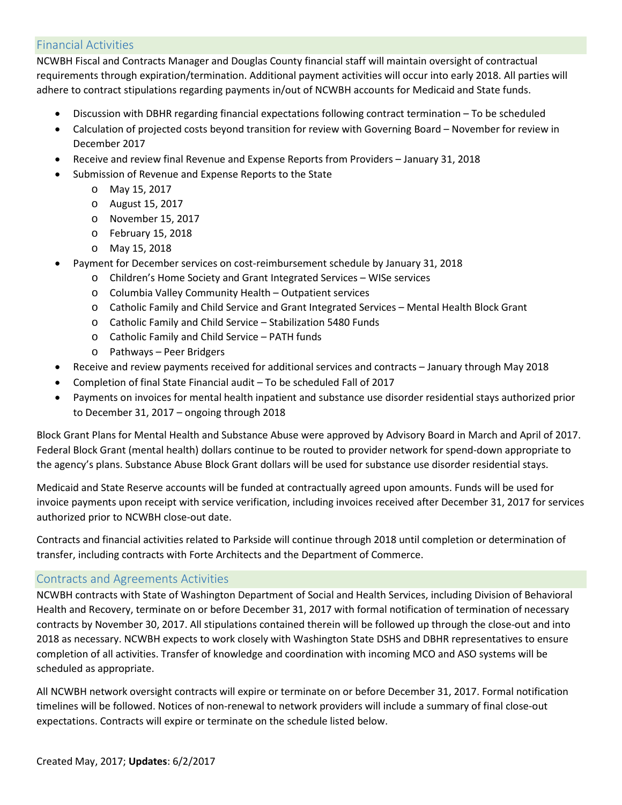### Financial Activities

NCWBH Fiscal and Contracts Manager and Douglas County financial staff will maintain oversight of contractual requirements through expiration/termination. Additional payment activities will occur into early 2018. All parties will adhere to contract stipulations regarding payments in/out of NCWBH accounts for Medicaid and State funds.

- Discussion with DBHR regarding financial expectations following contract termination To be scheduled
- Calculation of projected costs beyond transition for review with Governing Board November for review in December 2017
- Receive and review final Revenue and Expense Reports from Providers January 31, 2018
- Submission of Revenue and Expense Reports to the State
	- o May 15, 2017
	- o August 15, 2017
	- o November 15, 2017
	- o February 15, 2018
	- o May 15, 2018
- Payment for December services on cost-reimbursement schedule by January 31, 2018
	- o Children's Home Society and Grant Integrated Services WISe services
	- o Columbia Valley Community Health Outpatient services
	- o Catholic Family and Child Service and Grant Integrated Services Mental Health Block Grant
	- o Catholic Family and Child Service Stabilization 5480 Funds
	- o Catholic Family and Child Service PATH funds
	- o Pathways Peer Bridgers
- Receive and review payments received for additional services and contracts January through May 2018
- Completion of final State Financial audit To be scheduled Fall of 2017
- Payments on invoices for mental health inpatient and substance use disorder residential stays authorized prior to December 31, 2017 – ongoing through 2018

Block Grant Plans for Mental Health and Substance Abuse were approved by Advisory Board in March and April of 2017. Federal Block Grant (mental health) dollars continue to be routed to provider network for spend-down appropriate to the agency's plans. Substance Abuse Block Grant dollars will be used for substance use disorder residential stays.

Medicaid and State Reserve accounts will be funded at contractually agreed upon amounts. Funds will be used for invoice payments upon receipt with service verification, including invoices received after December 31, 2017 for services authorized prior to NCWBH close-out date.

Contracts and financial activities related to Parkside will continue through 2018 until completion or determination of transfer, including contracts with Forte Architects and the Department of Commerce.

### Contracts and Agreements Activities

NCWBH contracts with State of Washington Department of Social and Health Services, including Division of Behavioral Health and Recovery, terminate on or before December 31, 2017 with formal notification of termination of necessary contracts by November 30, 2017. All stipulations contained therein will be followed up through the close-out and into 2018 as necessary. NCWBH expects to work closely with Washington State DSHS and DBHR representatives to ensure completion of all activities. Transfer of knowledge and coordination with incoming MCO and ASO systems will be scheduled as appropriate.

All NCWBH network oversight contracts will expire or terminate on or before December 31, 2017. Formal notification timelines will be followed. Notices of non-renewal to network providers will include a summary of final close-out expectations. Contracts will expire or terminate on the schedule listed below.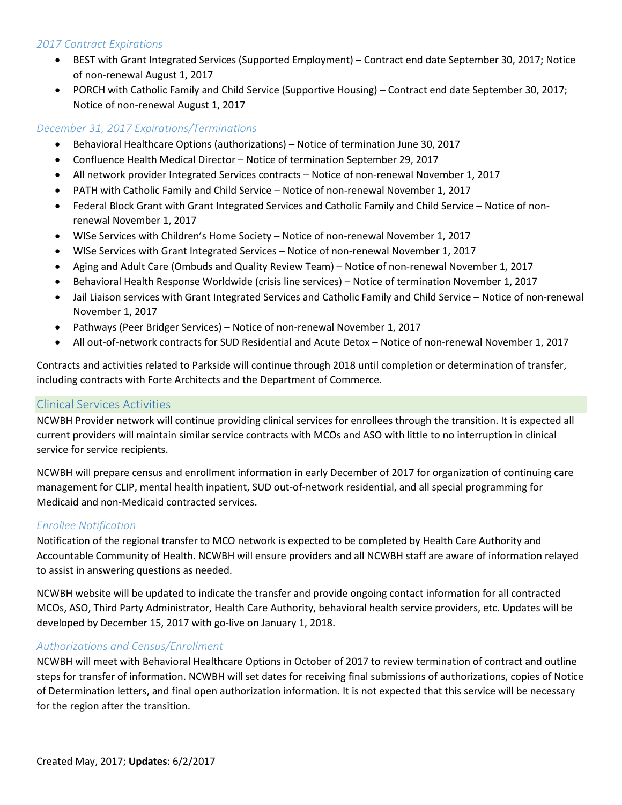### *2017 Contract Expirations*

- BEST with Grant Integrated Services (Supported Employment) Contract end date September 30, 2017; Notice of non-renewal August 1, 2017
- PORCH with Catholic Family and Child Service (Supportive Housing) Contract end date September 30, 2017; Notice of non-renewal August 1, 2017

### *December 31, 2017 Expirations/Terminations*

- Behavioral Healthcare Options (authorizations) Notice of termination June 30, 2017
- Confluence Health Medical Director Notice of termination September 29, 2017
- All network provider Integrated Services contracts Notice of non-renewal November 1, 2017
- PATH with Catholic Family and Child Service Notice of non-renewal November 1, 2017
- Federal Block Grant with Grant Integrated Services and Catholic Family and Child Service Notice of nonrenewal November 1, 2017
- WISe Services with Children's Home Society Notice of non-renewal November 1, 2017
- WISe Services with Grant Integrated Services Notice of non-renewal November 1, 2017
- Aging and Adult Care (Ombuds and Quality Review Team) Notice of non-renewal November 1, 2017
- Behavioral Health Response Worldwide (crisis line services) Notice of termination November 1, 2017
- Jail Liaison services with Grant Integrated Services and Catholic Family and Child Service Notice of non-renewal November 1, 2017
- Pathways (Peer Bridger Services) Notice of non-renewal November 1, 2017
- All out-of-network contracts for SUD Residential and Acute Detox Notice of non-renewal November 1, 2017

Contracts and activities related to Parkside will continue through 2018 until completion or determination of transfer, including contracts with Forte Architects and the Department of Commerce.

#### Clinical Services Activities

NCWBH Provider network will continue providing clinical services for enrollees through the transition. It is expected all current providers will maintain similar service contracts with MCOs and ASO with little to no interruption in clinical service for service recipients.

NCWBH will prepare census and enrollment information in early December of 2017 for organization of continuing care management for CLIP, mental health inpatient, SUD out-of-network residential, and all special programming for Medicaid and non-Medicaid contracted services.

### *Enrollee Notification*

Notification of the regional transfer to MCO network is expected to be completed by Health Care Authority and Accountable Community of Health. NCWBH will ensure providers and all NCWBH staff are aware of information relayed to assist in answering questions as needed.

NCWBH website will be updated to indicate the transfer and provide ongoing contact information for all contracted MCOs, ASO, Third Party Administrator, Health Care Authority, behavioral health service providers, etc. Updates will be developed by December 15, 2017 with go-live on January 1, 2018.

### *Authorizations and Census/Enrollment*

NCWBH will meet with Behavioral Healthcare Options in October of 2017 to review termination of contract and outline steps for transfer of information. NCWBH will set dates for receiving final submissions of authorizations, copies of Notice of Determination letters, and final open authorization information. It is not expected that this service will be necessary for the region after the transition.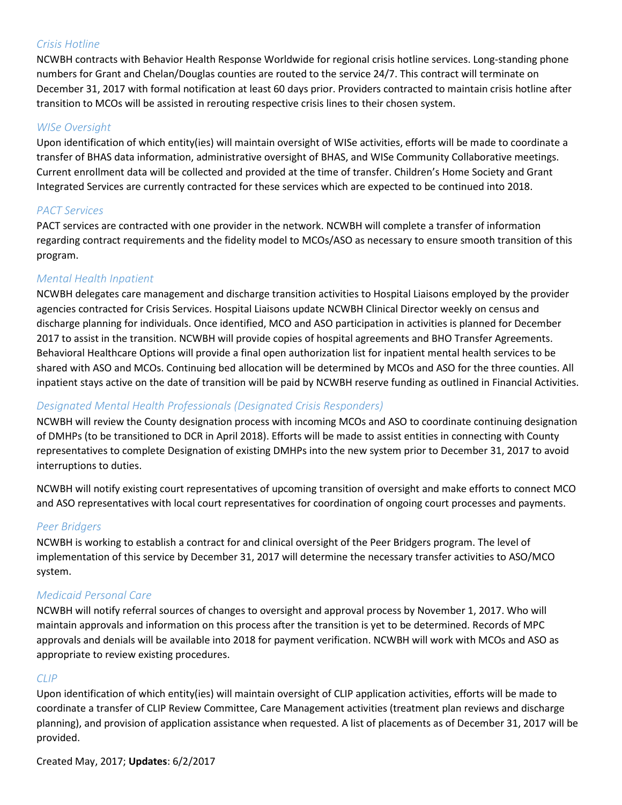### *Crisis Hotline*

NCWBH contracts with Behavior Health Response Worldwide for regional crisis hotline services. Long-standing phone numbers for Grant and Chelan/Douglas counties are routed to the service 24/7. This contract will terminate on December 31, 2017 with formal notification at least 60 days prior. Providers contracted to maintain crisis hotline after transition to MCOs will be assisted in rerouting respective crisis lines to their chosen system.

### *WISe Oversight*

Upon identification of which entity(ies) will maintain oversight of WISe activities, efforts will be made to coordinate a transfer of BHAS data information, administrative oversight of BHAS, and WISe Community Collaborative meetings. Current enrollment data will be collected and provided at the time of transfer. Children's Home Society and Grant Integrated Services are currently contracted for these services which are expected to be continued into 2018.

### *PACT Services*

PACT services are contracted with one provider in the network. NCWBH will complete a transfer of information regarding contract requirements and the fidelity model to MCOs/ASO as necessary to ensure smooth transition of this program.

### *Mental Health Inpatient*

NCWBH delegates care management and discharge transition activities to Hospital Liaisons employed by the provider agencies contracted for Crisis Services. Hospital Liaisons update NCWBH Clinical Director weekly on census and discharge planning for individuals. Once identified, MCO and ASO participation in activities is planned for December 2017 to assist in the transition. NCWBH will provide copies of hospital agreements and BHO Transfer Agreements. Behavioral Healthcare Options will provide a final open authorization list for inpatient mental health services to be shared with ASO and MCOs. Continuing bed allocation will be determined by MCOs and ASO for the three counties. All inpatient stays active on the date of transition will be paid by NCWBH reserve funding as outlined in Financial Activities.

### *Designated Mental Health Professionals (Designated Crisis Responders)*

NCWBH will review the County designation process with incoming MCOs and ASO to coordinate continuing designation of DMHPs (to be transitioned to DCR in April 2018). Efforts will be made to assist entities in connecting with County representatives to complete Designation of existing DMHPs into the new system prior to December 31, 2017 to avoid interruptions to duties.

NCWBH will notify existing court representatives of upcoming transition of oversight and make efforts to connect MCO and ASO representatives with local court representatives for coordination of ongoing court processes and payments.

### *Peer Bridgers*

NCWBH is working to establish a contract for and clinical oversight of the Peer Bridgers program. The level of implementation of this service by December 31, 2017 will determine the necessary transfer activities to ASO/MCO system.

### *Medicaid Personal Care*

NCWBH will notify referral sources of changes to oversight and approval process by November 1, 2017. Who will maintain approvals and information on this process after the transition is yet to be determined. Records of MPC approvals and denials will be available into 2018 for payment verification. NCWBH will work with MCOs and ASO as appropriate to review existing procedures.

### *CLIP*

Upon identification of which entity(ies) will maintain oversight of CLIP application activities, efforts will be made to coordinate a transfer of CLIP Review Committee, Care Management activities (treatment plan reviews and discharge planning), and provision of application assistance when requested. A list of placements as of December 31, 2017 will be provided.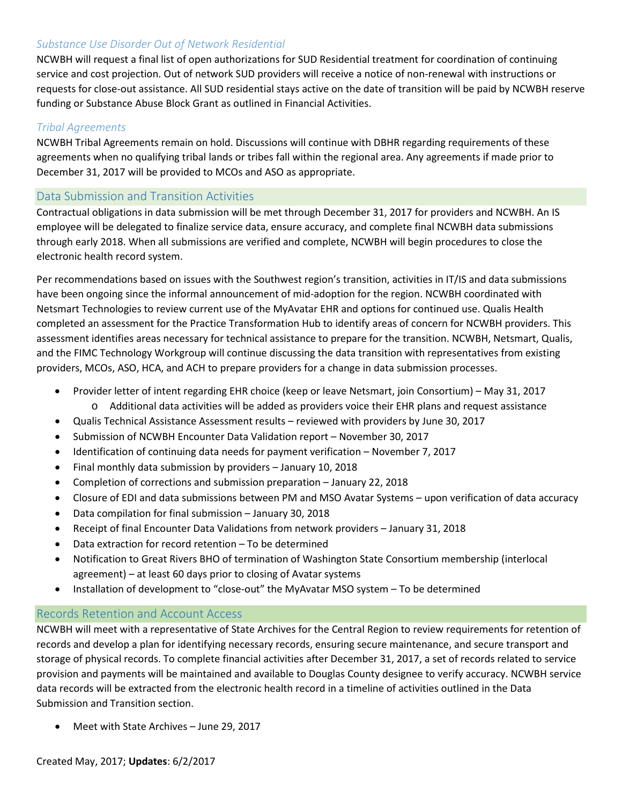### *Substance Use Disorder Out of Network Residential*

NCWBH will request a final list of open authorizations for SUD Residential treatment for coordination of continuing service and cost projection. Out of network SUD providers will receive a notice of non-renewal with instructions or requests for close-out assistance. All SUD residential stays active on the date of transition will be paid by NCWBH reserve funding or Substance Abuse Block Grant as outlined in Financial Activities.

#### *Tribal Agreements*

NCWBH Tribal Agreements remain on hold. Discussions will continue with DBHR regarding requirements of these agreements when no qualifying tribal lands or tribes fall within the regional area. Any agreements if made prior to December 31, 2017 will be provided to MCOs and ASO as appropriate.

### Data Submission and Transition Activities

Contractual obligations in data submission will be met through December 31, 2017 for providers and NCWBH. An IS employee will be delegated to finalize service data, ensure accuracy, and complete final NCWBH data submissions through early 2018. When all submissions are verified and complete, NCWBH will begin procedures to close the electronic health record system.

Per recommendations based on issues with the Southwest region's transition, activities in IT/IS and data submissions have been ongoing since the informal announcement of mid-adoption for the region. NCWBH coordinated with Netsmart Technologies to review current use of the MyAvatar EHR and options for continued use. Qualis Health completed an assessment for the Practice Transformation Hub to identify areas of concern for NCWBH providers. This assessment identifies areas necessary for technical assistance to prepare for the transition. NCWBH, Netsmart, Qualis, and the FIMC Technology Workgroup will continue discussing the data transition with representatives from existing providers, MCOs, ASO, HCA, and ACH to prepare providers for a change in data submission processes.

- Provider letter of intent regarding EHR choice (keep or leave Netsmart, join Consortium) May 31, 2017
	- o Additional data activities will be added as providers voice their EHR plans and request assistance
- Qualis Technical Assistance Assessment results reviewed with providers by June 30, 2017
- Submission of NCWBH Encounter Data Validation report November 30, 2017
- Identification of continuing data needs for payment verification November 7, 2017
- Final monthly data submission by providers January 10, 2018
- Completion of corrections and submission preparation January 22, 2018
- Closure of EDI and data submissions between PM and MSO Avatar Systems upon verification of data accuracy
- Data compilation for final submission January 30, 2018
- Receipt of final Encounter Data Validations from network providers January 31, 2018
- Data extraction for record retention To be determined
- Notification to Great Rivers BHO of termination of Washington State Consortium membership (interlocal agreement) – at least 60 days prior to closing of Avatar systems
- Installation of development to "close-out" the MyAvatar MSO system To be determined

### Records Retention and Account Access

NCWBH will meet with a representative of State Archives for the Central Region to review requirements for retention of records and develop a plan for identifying necessary records, ensuring secure maintenance, and secure transport and storage of physical records. To complete financial activities after December 31, 2017, a set of records related to service provision and payments will be maintained and available to Douglas County designee to verify accuracy. NCWBH service data records will be extracted from the electronic health record in a timeline of activities outlined in the Data Submission and Transition section.

• Meet with State Archives – June 29, 2017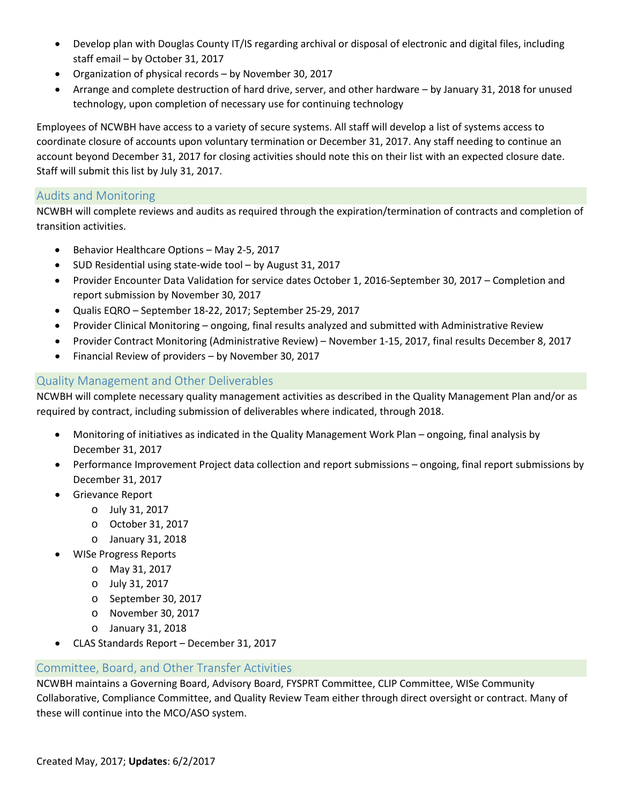- Develop plan with Douglas County IT/IS regarding archival or disposal of electronic and digital files, including staff email – by October 31, 2017
- Organization of physical records by November 30, 2017
- Arrange and complete destruction of hard drive, server, and other hardware by January 31, 2018 for unused technology, upon completion of necessary use for continuing technology

Employees of NCWBH have access to a variety of secure systems. All staff will develop a list of systems access to coordinate closure of accounts upon voluntary termination or December 31, 2017. Any staff needing to continue an account beyond December 31, 2017 for closing activities should note this on their list with an expected closure date. Staff will submit this list by July 31, 2017.

### Audits and Monitoring

NCWBH will complete reviews and audits as required through the expiration/termination of contracts and completion of transition activities.

- Behavior Healthcare Options May 2-5, 2017
- SUD Residential using state-wide tool by August 31, 2017
- Provider Encounter Data Validation for service dates October 1, 2016-September 30, 2017 Completion and report submission by November 30, 2017
- Qualis EQRO September 18-22, 2017; September 25-29, 2017
- Provider Clinical Monitoring ongoing, final results analyzed and submitted with Administrative Review
- Provider Contract Monitoring (Administrative Review) November 1-15, 2017, final results December 8, 2017
- Financial Review of providers by November 30, 2017

### Quality Management and Other Deliverables

NCWBH will complete necessary quality management activities as described in the Quality Management Plan and/or as required by contract, including submission of deliverables where indicated, through 2018.

- Monitoring of initiatives as indicated in the Quality Management Work Plan ongoing, final analysis by December 31, 2017
- Performance Improvement Project data collection and report submissions ongoing, final report submissions by December 31, 2017
- Grievance Report
	- o July 31, 2017
	- o October 31, 2017
	- o January 31, 2018
	- WISe Progress Reports
		- o May 31, 2017
		- o July 31, 2017
		- o September 30, 2017
		- o November 30, 2017
		- o January 31, 2018
- CLAS Standards Report December 31, 2017

### Committee, Board, and Other Transfer Activities

NCWBH maintains a Governing Board, Advisory Board, FYSPRT Committee, CLIP Committee, WISe Community Collaborative, Compliance Committee, and Quality Review Team either through direct oversight or contract. Many of these will continue into the MCO/ASO system.